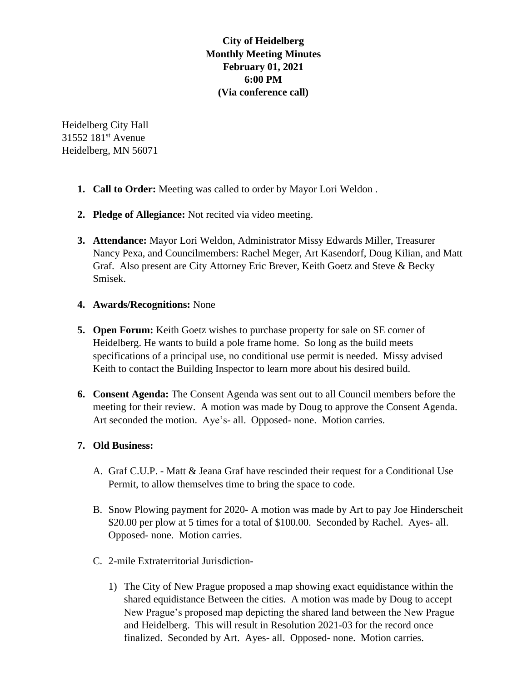# **City of Heidelberg Monthly Meeting Minutes February 01, 2021 6:00 PM (Via conference call)**

Heidelberg City Hall 31552 181<sup>st</sup> Avenue Heidelberg, MN 56071

- **1. Call to Order:** Meeting was called to order by Mayor Lori Weldon .
- **2. Pledge of Allegiance:** Not recited via video meeting.
- **3. Attendance:** Mayor Lori Weldon, Administrator Missy Edwards Miller, Treasurer Nancy Pexa, and Councilmembers: Rachel Meger, Art Kasendorf, Doug Kilian, and Matt Graf. Also present are City Attorney Eric Brever, Keith Goetz and Steve & Becky Smisek.

### **4. Awards/Recognitions:** None

- **5. Open Forum:** Keith Goetz wishes to purchase property for sale on SE corner of Heidelberg. He wants to build a pole frame home. So long as the build meets specifications of a principal use, no conditional use permit is needed. Missy advised Keith to contact the Building Inspector to learn more about his desired build.
- **6. Consent Agenda:** The Consent Agenda was sent out to all Council members before the meeting for their review. A motion was made by Doug to approve the Consent Agenda. Art seconded the motion. Aye's- all. Opposed- none. Motion carries.

# **7. Old Business:**

- A. Graf C.U.P. Matt & Jeana Graf have rescinded their request for a Conditional Use Permit, to allow themselves time to bring the space to code.
- B. Snow Plowing payment for 2020- A motion was made by Art to pay Joe Hinderscheit \$20.00 per plow at 5 times for a total of \$100.00. Seconded by Rachel. Ayes- all. Opposed- none. Motion carries.
- C. 2-mile Extraterritorial Jurisdiction-
	- 1) The City of New Prague proposed a map showing exact equidistance within the shared equidistance Between the cities. A motion was made by Doug to accept New Prague's proposed map depicting the shared land between the New Prague and Heidelberg. This will result in Resolution 2021-03 for the record once finalized. Seconded by Art. Ayes- all. Opposed- none. Motion carries.